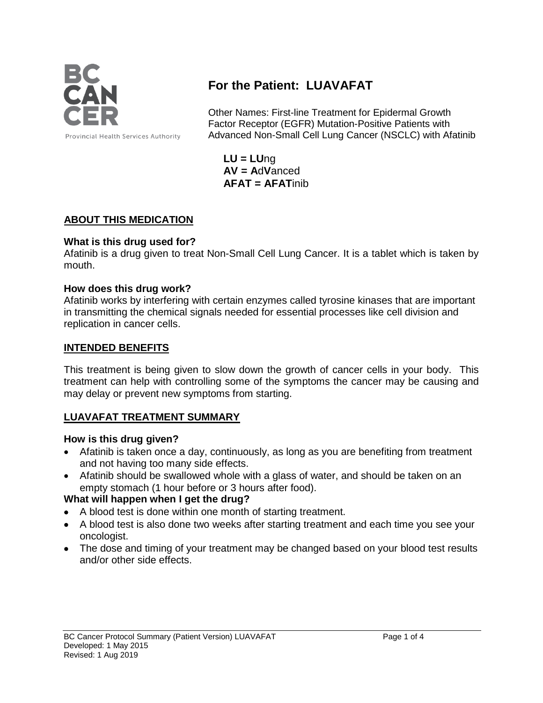

# **For the Patient: LUAVAFAT**

Other Names: First-line Treatment for Epidermal Growth Factor Receptor (EGFR) Mutation-Positive Patients with Advanced Non-Small Cell Lung Cancer (NSCLC) with Afatinib

**LU = LU**ng **AV = A**d**V**anced **AFAT = AFAT**inib

## **ABOUT THIS MEDICATION**

## **What is this drug used for?**

Afatinib is a drug given to treat Non-Small Cell Lung Cancer. It is a tablet which is taken by mouth.

## **How does this drug work?**

Afatinib works by interfering with certain enzymes called tyrosine kinases that are important in transmitting the chemical signals needed for essential processes like cell division and replication in cancer cells.

## **INTENDED BENEFITS**

This treatment is being given to slow down the growth of cancer cells in your body. This treatment can help with controlling some of the symptoms the cancer may be causing and may delay or prevent new symptoms from starting.

# **LUAVAFAT TREATMENT SUMMARY**

#### **How is this drug given?**

- Afatinib is taken once a day, continuously, as long as you are benefiting from treatment and not having too many side effects.
- Afatinib should be swallowed whole with a glass of water, and should be taken on an empty stomach (1 hour before or 3 hours after food).

## **What will happen when I get the drug?**

- A blood test is done within one month of starting treatment.
- A blood test is also done two weeks after starting treatment and each time you see your oncologist.
- The dose and timing of your treatment may be changed based on your blood test results and/or other side effects.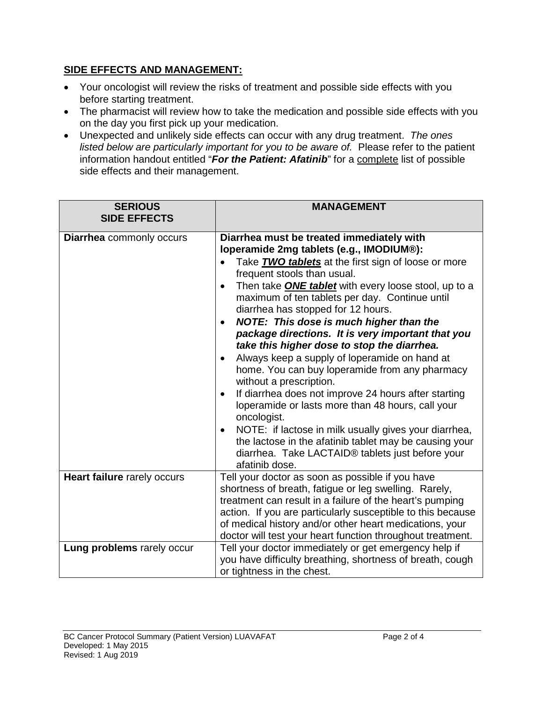# **SIDE EFFECTS AND MANAGEMENT:**

- Your oncologist will review the risks of treatment and possible side effects with you before starting treatment.
- The pharmacist will review how to take the medication and possible side effects with you on the day you first pick up your medication.
- Unexpected and unlikely side effects can occur with any drug treatment. *The ones listed below are particularly important for you to be aware of.* Please refer to the patient information handout entitled "*For the Patient: Afatinib*" for a complete list of possible side effects and their management.

| <b>SERIOUS</b><br><b>SIDE EFFECTS</b> | <b>MANAGEMENT</b>                                                                                                                                                                                                                                                                                                                                                                                                                                                                                                                                                                                                                                                                                                                                                                                                                                                                                                         |
|---------------------------------------|---------------------------------------------------------------------------------------------------------------------------------------------------------------------------------------------------------------------------------------------------------------------------------------------------------------------------------------------------------------------------------------------------------------------------------------------------------------------------------------------------------------------------------------------------------------------------------------------------------------------------------------------------------------------------------------------------------------------------------------------------------------------------------------------------------------------------------------------------------------------------------------------------------------------------|
| <b>Diarrhea</b> commonly occurs       | Diarrhea must be treated immediately with<br>loperamide 2mg tablets (e.g., IMODIUM®):<br>Take <b>TWO tablets</b> at the first sign of loose or more<br>$\bullet$<br>frequent stools than usual.<br>Then take <b>ONE tablet</b> with every loose stool, up to a<br>maximum of ten tablets per day. Continue until<br>diarrhea has stopped for 12 hours.<br>NOTE: This dose is much higher than the<br>package directions. It is very important that you<br>take this higher dose to stop the diarrhea.<br>Always keep a supply of loperamide on hand at<br>$\bullet$<br>home. You can buy loperamide from any pharmacy<br>without a prescription.<br>If diarrhea does not improve 24 hours after starting<br>$\bullet$<br>loperamide or lasts more than 48 hours, call your<br>oncologist.<br>NOTE: if lactose in milk usually gives your diarrhea,<br>$\bullet$<br>the lactose in the afatinib tablet may be causing your |
|                                       | diarrhea. Take LACTAID® tablets just before your<br>afatinib dose.                                                                                                                                                                                                                                                                                                                                                                                                                                                                                                                                                                                                                                                                                                                                                                                                                                                        |
| Heart failure rarely occurs           | Tell your doctor as soon as possible if you have<br>shortness of breath, fatigue or leg swelling. Rarely,<br>treatment can result in a failure of the heart's pumping<br>action. If you are particularly susceptible to this because<br>of medical history and/or other heart medications, your<br>doctor will test your heart function throughout treatment.                                                                                                                                                                                                                                                                                                                                                                                                                                                                                                                                                             |
| Lung problems rarely occur            | Tell your doctor immediately or get emergency help if<br>you have difficulty breathing, shortness of breath, cough<br>or tightness in the chest.                                                                                                                                                                                                                                                                                                                                                                                                                                                                                                                                                                                                                                                                                                                                                                          |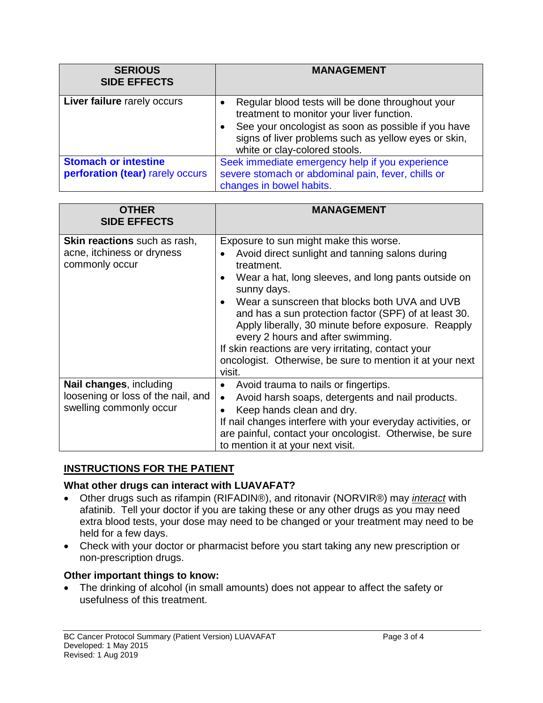| <b>SERIOUS</b><br><b>SIDE EFFECTS</b> | <b>MANAGEMENT</b>                                                                                                                                                                                                                             |
|---------------------------------------|-----------------------------------------------------------------------------------------------------------------------------------------------------------------------------------------------------------------------------------------------|
| Liver failure rarely occurs           | Regular blood tests will be done throughout your<br>treatment to monitor your liver function.<br>See your oncologist as soon as possible if you have<br>signs of liver problems such as yellow eyes or skin,<br>white or clay-colored stools. |
| <b>Stomach or intestine</b>           | Seek immediate emergency help if you experience                                                                                                                                                                                               |
| perforation (tear) rarely occurs      | severe stomach or abdominal pain, fever, chills or<br>changes in bowel habits.                                                                                                                                                                |

| <b>OTHER</b><br><b>SIDE EFFECTS</b>                                                      | MANAGEMENT                                                                                                                                                                                                                                                                                                                                                                                                                                                                                                        |
|------------------------------------------------------------------------------------------|-------------------------------------------------------------------------------------------------------------------------------------------------------------------------------------------------------------------------------------------------------------------------------------------------------------------------------------------------------------------------------------------------------------------------------------------------------------------------------------------------------------------|
| <b>Skin reactions</b> such as rash,<br>acne, itchiness or dryness<br>commonly occur      | Exposure to sun might make this worse.<br>Avoid direct sunlight and tanning salons during<br>treatment.<br>Wear a hat, long sleeves, and long pants outside on<br>sunny days.<br>Wear a sunscreen that blocks both UVA and UVB<br>and has a sun protection factor (SPF) of at least 30.<br>Apply liberally, 30 minute before exposure. Reapply<br>every 2 hours and after swimming.<br>If skin reactions are very irritating, contact your<br>oncologist. Otherwise, be sure to mention it at your next<br>visit. |
| Nail changes, including<br>loosening or loss of the nail, and<br>swelling commonly occur | Avoid trauma to nails or fingertips.<br>$\bullet$<br>Avoid harsh soaps, detergents and nail products.<br>$\bullet$<br>Keep hands clean and dry.<br>If nail changes interfere with your everyday activities, or<br>are painful, contact your oncologist. Otherwise, be sure<br>to mention it at your next visit.                                                                                                                                                                                                   |

## **INSTRUCTIONS FOR THE PATIENT**

#### **What other drugs can interact with LUAVAFAT?**

- Other drugs such as rifampin (RIFADIN®), and ritonavir (NORVIR®) may *interact* with afatinib. Tell your doctor if you are taking these or any other drugs as you may need extra blood tests, your dose may need to be changed or your treatment may need to be held for a few days.
- Check with your doctor or pharmacist before you start taking any new prescription or non-prescription drugs.

#### **Other important things to know:**

• The drinking of alcohol (in small amounts) does not appear to affect the safety or usefulness of this treatment.